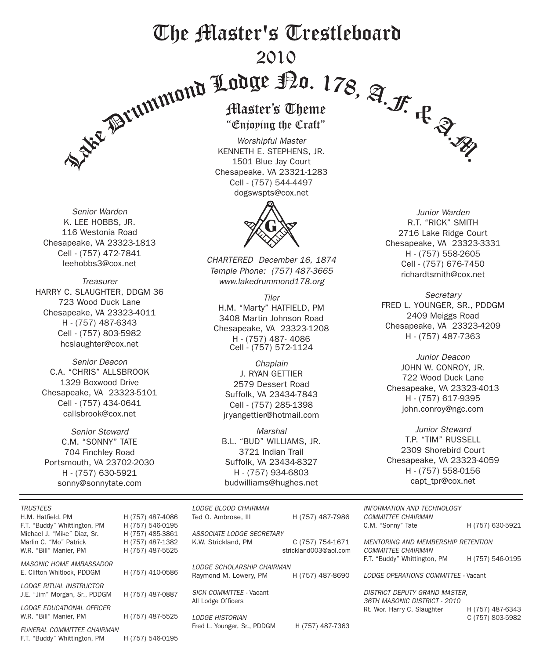# The Master's Trestleboard 2010

*Senior Warden* K. LEE HOBBS, JR. 116 Westonia Road Chesapeake, VA 23323-1813 Cell - (757) 472-7841 leehobbs3@cox.net

*Treasurer* HARRY C. SLAUGHTER, DDGM 36 723 Wood Duck Lane Chesapeake, VA 23323-4011 H - (757) 487-6343 Cell - (757) 803-5982 hcslaughter@cox.net

*Senior Deacon* C.A. "CHRIS" ALLSBROOK 1329 Boxwood Drive Chesapeake, VA 23323-5101 Cell - (757) 434-0641 callsbrook@cox.net

*Senior Steward* C.M. "SONNY" TATE 704 Finchley Road Portsmouth, VA 23702-2030 H - (757) 630-5921 sonny@sonnytate.com

Enjoping the Cra

*Worshipful Master* KENNETH E. STEPHENS, JR. 1501 Blue Jay Court Chesapeake, VA 23321-1283 Cell - (757) 544-4497 dogswspts@cox.net



*CHARTERED December 16, 1874 Temple Phone: (757) 487-3665 www.lakedrummond178.org*

*Tiler* H.M. "Marty" HATFIELD, PM 3408 Martin Johnson Road Chesapeake, VA 23323-1208 H - (757) 487- 4086 Cell - (757) 572-1124

*Chaplain* J. RYAN GETTIER 2579 Dessert Road Suffolk, VA 23434-7843 Cell - (757) 285-1398 jryangettier@hotmail.com

*Marshal* B.L. "BUD" WILLIAMS, JR. 3721 Indian Trail Suffolk, VA 23434-8327 H - (757) 934-6803 budwilliams@hughes.net

*Junior Warden* R.T. "RICK" SMITH 2716 Lake Ridge Court Chesapeake, VA 23323-3331 H - (757) 558-2605 Cell - (757) 676-7450 richardtsmith@cox.net

*Secretary* FRED L. YOUNGER, SR., PDDGM 2409 Meiggs Road Chesapeake, VA 23323-4209 H - (757) 487-7363

*Junior Deacon* JOHN W. CONROY, JR. 722 Wood Duck Lane Chesapeake, VA 23323-4013 H - (757) 617-9395 john.conroy@ngc.com

*Junior Steward* T.P. "TIM" RUSSELL 2309 Shorebird Court Chesapeake, VA 23323-4059 H - (757) 558-0156 capt\_tpr@cox.net

| <b>TRUSTEES</b>                                   |                                      | LODGE BLOOD CHAIRMAN        |                       | INFORMATION AND TECHNOLOGY                     |                  |  |
|---------------------------------------------------|--------------------------------------|-----------------------------|-----------------------|------------------------------------------------|------------------|--|
| H.M. Hatfield, PM<br>F.T. "Buddy" Whittington, PM | H (757) 487-4086<br>H (757) 546-0195 | Ted O. Ambrose. III         | H (757) 487-7986      | <b>COMMITTEE CHAIRMAN</b><br>C.M. "Sonny" Tate | H (757) 630-5921 |  |
| Michael J. "Mike" Diaz, Sr.                       | H (757) 485-3861                     | ASSOCIATE LODGE SECRETARY   |                       |                                                |                  |  |
| Marlin C. "Mo" Patrick                            | H (757) 487-1382                     | K.W. Strickland, PM         | C (757) 754-1671      | <b>MENTORING AND MEMBERSHIP RETENTION</b>      |                  |  |
| W.R. "Bill" Manier. PM                            | H (757) 487-5525                     |                             | strickland003@aol.com | <b>COMMITTEE CHAIRMAN</b>                      |                  |  |
| <b>MASONIC HOME AMBASSADOR</b>                    |                                      |                             |                       | F.T. "Buddy" Whittington, PM                   | H (757) 546-0195 |  |
| E. Clifton Whitlock. PDDGM                        |                                      | LODGE SCHOLARSHIP CHAIRMAN  |                       |                                                |                  |  |
|                                                   | H (757) 410-0586                     | Raymond M. Lowery, PM       | H (757) 487-8690      | LODGE OPERATIONS COMMITTEE - Vacant            |                  |  |
| LODGE RITUAL INSTRUCTOR                           |                                      |                             |                       |                                                |                  |  |
| J.E. "Jim" Morgan, Sr., PDDGM                     | H (757) 487-0887                     | SICK COMMITTEE - Vacant     |                       | <b>DISTRICT DEPUTY GRAND MASTER.</b>           |                  |  |
|                                                   |                                      | All Lodge Officers          |                       | 36TH MASONIC DISTRICT - 2010                   |                  |  |
| LODGE EDUCATIONAL OFFICER                         |                                      |                             |                       | Rt. Wor. Harry C. Slaughter                    | H (757) 487-6343 |  |
| W.R. "Bill" Manier, PM                            | H (757) 487-5525                     | <b>LODGE HISTORIAN</b>      |                       |                                                | C (757) 803-5982 |  |
| <b>FUNERAL COMMITTEE CHAIRMAN</b>                 |                                      | Fred L. Younger, Sr., PDDGM | H (757) 487-7363      |                                                |                  |  |

F.T. "Buddy" Whittington, PM H (757) 546-0195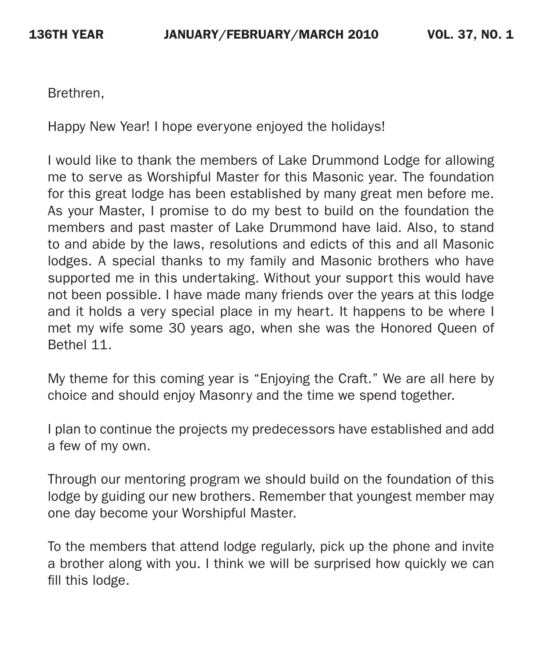Brethren,

Happy New Year! I hope everyone enjoyed the holidays!

I would like to thank the members of Lake Drummond Lodge for allowing me to serve as Worshipful Master for this Masonic year. The foundation for this great lodge has been established by many great men before me. As your Master, I promise to do my best to build on the foundation the members and past master of Lake Drummond have laid. Also, to stand to and abide by the laws, resolutions and edicts of this and all Masonic lodges. A special thanks to my family and Masonic brothers who have supported me in this undertaking. Without your support this would have not been possible. I have made many friends over the years at this lodge and it holds a very special place in my heart. It happens to be where I met my wife some 30 years ago, when she was the Honored Queen of Bethel 11.

My theme for this coming year is "Enjoying the Craft." We are all here by choice and should enjoy Masonry and the time we spend together.

I plan to continue the projects my predecessors have established and add a few of my own.

Through our mentoring program we should build on the foundation of this lodge by guiding our new brothers. Remember that youngest member may one day become your Worshipful Master.

To the members that attend lodge regularly, pick up the phone and invite a brother along with you. I think we will be surprised how quickly we can fill this lodge.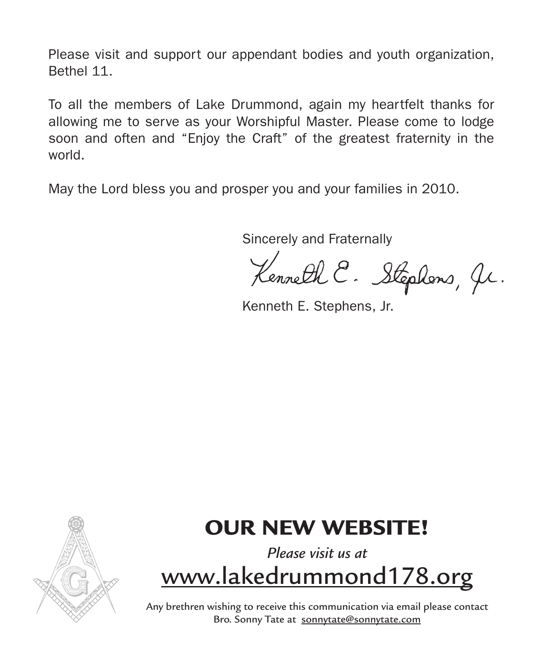Please visit and support our appendant bodies and youth organization, Bethel 11.

To all the members of Lake Drummond, again my heartfelt thanks for allowing me to serve as your Worshipful Master. Please come to lodge soon and often and "Enjoy the Craft" of the greatest fraternity in the world.

May the Lord bless you and prosper you and your families in 2010.

Sincerely and Fraternally

Kenneth E. Stephens, Jr.

Kenneth E. Stephens, Jr.



# OUR NEW WEBSITE!

# *Please visit us at*  www.lakedrummond178.org

Any brethren wishing to receive this communication via email please contact Bro. Sonny Tate at sonnytate@sonnytate.com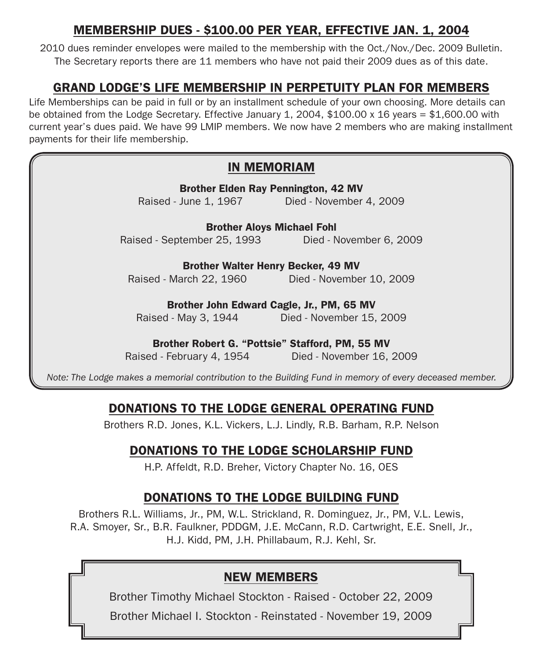### MEMBERSHIP DUES - \$100.00 PER YEAR, EFFECTIVE JAN. 1, 2004

2010 dues reminder envelopes were mailed to the membership with the Oct./Nov./Dec. 2009 Bulletin. The Secretary reports there are 11 members who have not paid their 2009 dues as of this date.

### GRAND LODGE'S LIFE MEMBERSHIP IN PERPETUITY PLAN FOR MEMBERS

Life Memberships can be paid in full or by an installment schedule of your own choosing. More details can be obtained from the Lodge Secretary. Effective January 1, 2004, \$100.00 x 16 years = \$1,600.00 with current year's dues paid. We have 99 LMIP members. We now have 2 members who are making installment payments for their life membership.

#### IN MEMORIAM

| <b>Brother Elden Ray Pennington, 42 MV</b><br>Raised - June 1, 1967 Died - November 4, 2009   |                          |  |  |  |  |  |  |  |
|-----------------------------------------------------------------------------------------------|--------------------------|--|--|--|--|--|--|--|
| <b>Brother Aloys Michael Fohl</b>                                                             |                          |  |  |  |  |  |  |  |
| Raised - September 25, 1993 Died - November 6, 2009                                           |                          |  |  |  |  |  |  |  |
| <b>Brother Walter Henry Becker, 49 MV</b><br>Raised - March 22, 1960 Died - November 10, 2009 |                          |  |  |  |  |  |  |  |
| Brother John Edward Cagle, Jr., PM, 65 MV                                                     |                          |  |  |  |  |  |  |  |
| Raised - May 3, 1944                                                                          | Died - November 15, 2009 |  |  |  |  |  |  |  |
| Brother Robert G. "Pottsie" Stafford, PM, 55 MV<br>Raised - February 4, 1954                  | Died - November 16, 2009 |  |  |  |  |  |  |  |

*Note: The Lodge makes a memorial contribution to the Building Fund in memory of every deceased member.*

## DONATIONS to the Lodge general operating fund

Brothers R.D. Jones, K.L. Vickers, L.J. Lindly, R.B. Barham, R.P. Nelson

## DONATIONS to the Lodge scholarship fund

H.P. Affeldt, R.D. Breher, Victory Chapter No. 16, OES

# DONATIONS to the Lodge BUILDING fund

Brothers R.L. Williams, Jr., PM, W.L. Strickland, R. Dominguez, Jr., PM, V.L. Lewis, R.A. Smoyer, Sr., B.R. Faulkner, PDDGM, J.E. McCann, R.D. Cartwright, E.E. Snell, Jr., H.J. Kidd, PM, J.H. Phillabaum, R.J. Kehl, Sr.

## NEW MEMBERS

Brother Timothy Michael Stockton - Raised - October 22, 2009

Brother Michael I. Stockton - Reinstated - November 19, 2009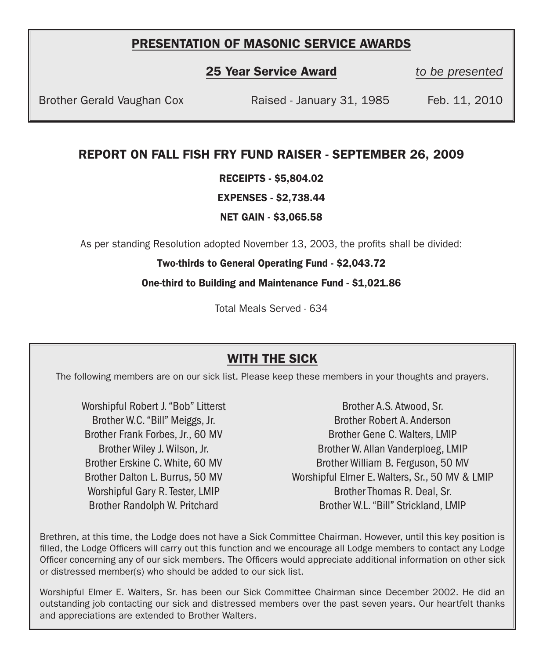#### PRESENTATION OF MASONIC SERVICE AWARDS

25 Year Service Award *to be presented*

Brother Gerald Vaughan Cox Raised - January 31, 1985 Feb. 11, 2010

#### REPORT ON FALL FISH FRY FUND RAISER - SEPTEMBER 26, 2009

RECEIPTS - \$5,804.02

EXPENSES - \$2,738.44

NET GAIN - \$3,065.58

As per standing Resolution adopted November 13, 2003, the profits shall be divided:

#### Two-thirds to General Operating Fund - \$2,043.72

One-third to Building and Maintenance Fund - \$1,021.86

Total Meals Served - 634

#### WITH THE SICK

The following members are on our sick list. Please keep these members in your thoughts and prayers.

Worshipful Robert J. "Bob" Litterst Brother W.C. "Bill" Meiggs, Jr. Brother Frank Forbes, Jr., 60 MV Brother Wiley J. Wilson, Jr. Brother Erskine C. White, 60 MV Brother Dalton L. Burrus, 50 MV Worshipful Gary R. Tester, LMIP Brother Randolph W. Pritchard

Brother A.S. Atwood, Sr. Brother Robert A. Anderson Brother Gene C. Walters, LMIP Brother W. Allan Vanderploeg, LMIP Brother William B. Ferguson, 50 MV Worshipful Elmer E. Walters, Sr., 50 MV & LMIP Brother Thomas R. Deal, Sr. Brother W.L. "Bill" Strickland, LMIP

Brethren, at this time, the Lodge does not have a Sick Committee Chairman. However, until this key position is filled, the Lodge Officers will carry out this function and we encourage all Lodge members to contact any Lodge Officer concerning any of our sick members. The Officers would appreciate additional information on other sick or distressed member(s) who should be added to our sick list.

Worshipful Elmer E. Walters, Sr. has been our Sick Committee Chairman since December 2002. He did an outstanding job contacting our sick and distressed members over the past seven years. Our heartfelt thanks and appreciations are extended to Brother Walters.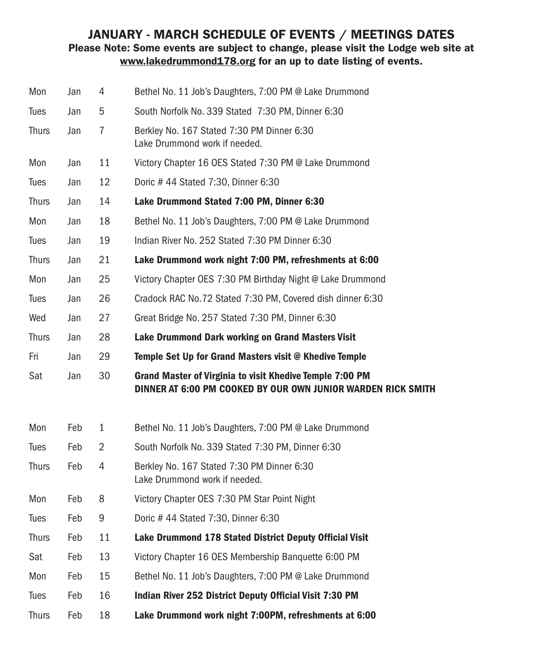#### JANUARY - MARCH SCHEDULE OF EVENTS / MEETINGS DATES Please Note: Some events are subject to change, please visit the Lodge web site at www.lakedrummond178.org for an up to date listing of events.

| Mon          | Jan | 4  | Bethel No. 11 Job's Daughters, 7:00 PM @ Lake Drummond                                                                   |
|--------------|-----|----|--------------------------------------------------------------------------------------------------------------------------|
| <b>Tues</b>  | Jan | 5  | South Norfolk No. 339 Stated 7:30 PM, Dinner 6:30                                                                        |
| <b>Thurs</b> | Jan | 7  | Berkley No. 167 Stated 7:30 PM Dinner 6:30<br>Lake Drummond work if needed.                                              |
| Mon          | Jan | 11 | Victory Chapter 16 OES Stated 7:30 PM @ Lake Drummond                                                                    |
| <b>Tues</b>  | Jan | 12 | Doric #44 Stated 7:30, Dinner 6:30                                                                                       |
| <b>Thurs</b> | Jan | 14 | Lake Drummond Stated 7:00 PM, Dinner 6:30                                                                                |
| Mon          | Jan | 18 | Bethel No. 11 Job's Daughters, 7:00 PM @ Lake Drummond                                                                   |
| Tues         | Jan | 19 | Indian River No. 252 Stated 7:30 PM Dinner 6:30                                                                          |
| <b>Thurs</b> | Jan | 21 | Lake Drummond work night 7:00 PM, refreshments at 6:00                                                                   |
| Mon          | Jan | 25 | Victory Chapter OES 7:30 PM Birthday Night @ Lake Drummond                                                               |
| Tues         | Jan | 26 | Cradock RAC No.72 Stated 7:30 PM, Covered dish dinner 6:30                                                               |
| Wed          | Jan | 27 | Great Bridge No. 257 Stated 7:30 PM, Dinner 6:30                                                                         |
| <b>Thurs</b> | Jan | 28 | Lake Drummond Dark working on Grand Masters Visit                                                                        |
| Fri          | Jan | 29 | Temple Set Up for Grand Masters visit @ Khedive Temple                                                                   |
| Sat          | Jan | 30 | Grand Master of Virginia to visit Khedive Temple 7:00 PM<br>DINNER AT 6:00 PM COOKED BY OUR OWN JUNIOR WARDEN RICK SMITH |
| Mon          | Feb | 1  | Bethel No. 11 Job's Daughters, 7:00 PM @ Lake Drummond                                                                   |
| <b>Tues</b>  | Feb | 2  | South Norfolk No. 339 Stated 7:30 PM, Dinner 6:30                                                                        |
| <b>Thurs</b> | Feb | 4  | Berkley No. 167 Stated 7:30 PM Dinner 6:30<br>Lake Drummond work if needed.                                              |
| Mon          | Feb | 8  | Victory Chapter OES 7:30 PM Star Point Night                                                                             |
| Tues         | Feb | 9  | Doric # 44 Stated 7:30, Dinner 6:30                                                                                      |
| <b>Thurs</b> | Feb | 11 | Lake Drummond 178 Stated District Deputy Official Visit                                                                  |
| Sat          | Feb | 13 | Victory Chapter 16 OES Membership Banquette 6:00 PM                                                                      |
| Mon          | Feb | 15 | Bethel No. 11 Job's Daughters, 7:00 PM @ Lake Drummond                                                                   |
| <b>Tues</b>  | Feb | 16 | Indian River 252 District Deputy Official Visit 7:30 PM                                                                  |
| <b>Thurs</b> | Feb | 18 | Lake Drummond work night 7:00PM, refreshments at 6:00                                                                    |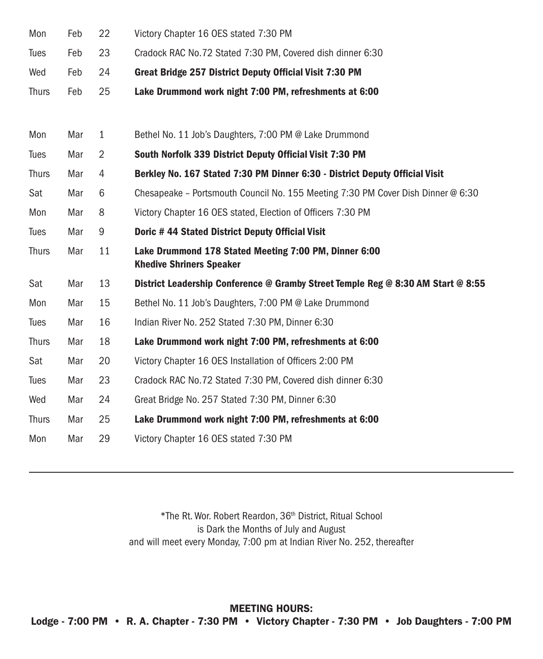| Mon          | Feb | 22           | Victory Chapter 16 OES stated 7:30 PM                                                    |
|--------------|-----|--------------|------------------------------------------------------------------------------------------|
| <b>Tues</b>  | Feb | 23           | Cradock RAC No.72 Stated 7:30 PM, Covered dish dinner 6:30                               |
| Wed          | Feb | 24           | Great Bridge 257 District Deputy Official Visit 7:30 PM                                  |
| <b>Thurs</b> | Feb | 25           | Lake Drummond work night 7:00 PM, refreshments at 6:00                                   |
|              |     |              |                                                                                          |
| Mon          | Mar | $\mathbf{1}$ | Bethel No. 11 Job's Daughters, 7:00 PM @ Lake Drummond                                   |
| <b>Tues</b>  | Mar | 2            | South Norfolk 339 District Deputy Official Visit 7:30 PM                                 |
| <b>Thurs</b> | Mar | 4            | Berkley No. 167 Stated 7:30 PM Dinner 6:30 - District Deputy Official Visit              |
| Sat          | Mar | 6            | Chesapeake - Portsmouth Council No. 155 Meeting 7:30 PM Cover Dish Dinner @ 6:30         |
| Mon          | Mar | 8            | Victory Chapter 16 OES stated, Election of Officers 7:30 PM                              |
| <b>Tues</b>  | Mar | 9            | Doric #44 Stated District Deputy Official Visit                                          |
| <b>Thurs</b> | Mar | 11           | Lake Drummond 178 Stated Meeting 7:00 PM, Dinner 6:00<br><b>Khedive Shriners Speaker</b> |
| Sat          | Mar | 13           | District Leadership Conference @ Gramby Street Temple Reg @ 8:30 AM Start @ 8:55         |
| Mon          | Mar | 15           | Bethel No. 11 Job's Daughters, 7:00 PM @ Lake Drummond                                   |
| Tues         | Mar | 16           | Indian River No. 252 Stated 7:30 PM, Dinner 6:30                                         |
| <b>Thurs</b> | Mar | 18           | Lake Drummond work night 7:00 PM, refreshments at 6:00                                   |
| Sat          | Mar | 20           | Victory Chapter 16 OES Installation of Officers 2:00 PM                                  |
| Tues         | Mar | 23           | Cradock RAC No.72 Stated 7:30 PM, Covered dish dinner 6:30                               |
| Wed          | Mar | 24           | Great Bridge No. 257 Stated 7:30 PM, Dinner 6:30                                         |
| <b>Thurs</b> | Mar | 25           | Lake Drummond work night 7:00 PM, refreshments at 6:00                                   |
| Mon          | Mar | 29           | Victory Chapter 16 OES stated 7:30 PM                                                    |

\*The Rt. Wor. Robert Reardon, 36th District, Ritual School is Dark the Months of July and August and will meet every Monday, 7:00 pm at Indian River No. 252, thereafter